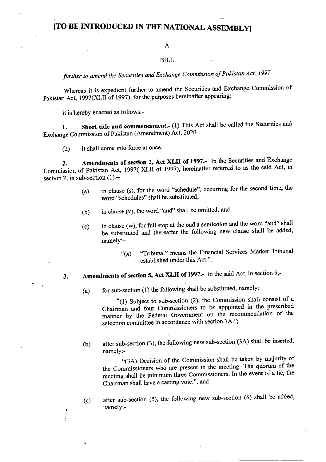## [TO BE INTRODUCED IN THE NATIONAL ASSEMBLYI

## A

### BILL

further to amend the Securities and Exchange Commission of Pakistan Act, 1997

Whereas it is expedient further to amend the Securities and Exchange Commission of Pakistan Act, 1997(XLII of 1997), for the purposes hereinafter appearing;

It is hereby enacted as follows:-

1. Short title and commencement.- (1) This Act shall be called the Securities and Exchange Commission of Pakistan (Amendment) Act, 2020'

(2) It shall come into force at once.

2. Amendments of section 2, Act XLII of 1997.- In the Securities and Exchange Commission of Pakistan Act, 1997( XLII of 1997), hereinafter referred to as the said Act, in section 2, in sub-section  $(1)$ ,-

- (a) in clause (s), for the word "schedule", occurring for the second time, the word "schedules" shall be substituted;
- in clause (v), the word "and" shall be omitted; and (b)
- (c) in clause (w), for futl stop at the end a semicolon and the word "and" shall be substituted and thereafter the following new clause shall be added, namely:-
	- " $(x)$  "Tribunal" means the Financial Services Market Tribunal established under this Act.".

# 3. Amendments of section 5, Act XLII of 1997.- In the said Act, in section 5,-

:

(a) for sub-section (1) the following shall be substituted, namely:

"(1) Subject to sub-section (2), the Commission shall consist of a Chairman and four Commissioners to be appointed in the prescribed manner by the Federal Government on the recommendation of the selection committee in accordance with section 7A.";

(b) after sub-section (3), the following new sub-section (3A) shall be inserted, namely:-

"(3A) Decision of the Commission shall be taken by majority of the Commissioners who are present in the meeting. The quorum of the meeting shall be minimum three Commissioners. In the event of a tie, the Chairman shall have a casting vote."; and

(c) after sub-section (5), the following new sub-section (6) shall be added' namely:-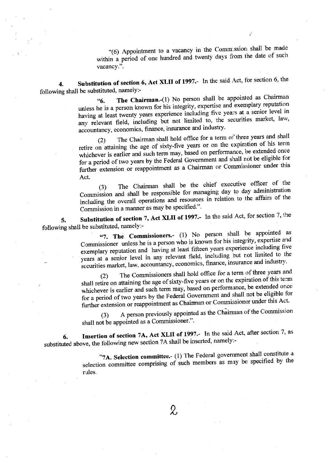"(6) Appointment to a vacancy in the Comm ssion shall be made within a period of one hundred and twenty days from the date of such vacancy.".

Substitution of section 6, Act XLII of 1997.- In the said Act, for section 6, the  $\boldsymbol{\Lambda}$ following shall be substituted, namely:-

The Chairman.-(1) No person shall be appointed as Chairman <sup>"6.</sup> unless he is a person known for his integrity, expertise and exemplary reputation having at least twenty years experience including five years at a senior level in any relevant field, including but not limited to, the securities market, law, accountancy, economics, finance, insurance and industry.

The Chairman shall hold office for a term of three years and shall  $(2)$ retire on attaining the age of sixty-five years or on the expiration of his term whichever is earlier and such term may, based on performance, be extended once for a period of two years by the Federal Government and shall not be eligible for further extension or reappointment as a Chairman or Commissioner under this Act.

The Chairman shall be the chief executive officer of the  $(3)$ Commission and shall be responsible for managing day to day administration including the overall operations and resources in relation to the affairs of the Commission in a manner as may be specified.".

Substitution of section 7, Act XLII of 1997.- In the said Act, for section 7, the 5. following shall be substituted, namely:-

"7. The Commissioners.- (1) No person shall be appointed as Commissioner unless he is a person who is known for his integrity, expertise and exemplary reputation and having at least fifteen years experience including five years at a senior level in any relevant field, including but not limited to the securities market, law, accountancy, economics, finance, insurance and industry.

The Commissioners shall hold office for a term of three years and  $(2)$ shall retire on attaining the age of sixty-five years or on the expiration of this term whichever is earlier and such term may, based on performance, be extended once for a period of two years by the Federal Government and shall not be eligible for further extension or reappointment as Chairman or Commissioner under this Act.

A person previously appointed as the Chairman of the Commission  $(3)$ shall not be appointed as a Commissioner.".

Insertion of section 7A, Act XLII of 1997.- In the said Act, after section 7, as 6. substituted above, the following new section 7A shall be inserted, namely:-

> "7A. Selection committee.- (1) The Federal government shall constitute a selection committee comprising of such members as may be specified by the rules.

> > $\&$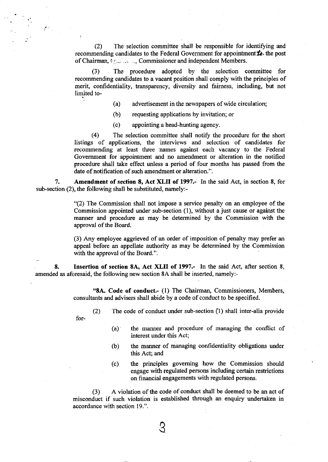(2) The selection committee shall be responsible for identifring and recommending candidates to the Federal Government for appointment  $\boldsymbol{\dot{L}}$ . the post of Chairman,  $\ell_{\text{max}}$  Commissioner and independent Members.

(3) The procedure adopted by the selection committee for recommending candidates to a vacant position shall comply with the principles of merit, confidentiality, transparency, diversity and faimess, including, but not limited to-

- (a) advertisement in the newspapers of wide circulation;
- (b) requesting applications by invitation; or
- (c) appointing a head-hunting agency.

(4) The selection committee shall notify the procedure for the short listings of applications, the interviews and selection of candidates for recommending at least three names against each vacancy to the Federal Govemment for appointment and no amendment or alteration in the notified procedure shall take effect unless a period of four months has passed from the date of notification of such amendment or alteration.".

7. Amendment of section 8, Act XLII of 1997.- In the said Act, in section 8, for sub-section (2), the following shall be substituted, namely:-

> "(2) The Commission shall not impose a service penalty on an employee of the Commission appointed under sub-section (1), without a just cause or against the manner and procedure as may be determined by the Commission with the approval of the Board.

> (3) Any employee aggrieved of an order of imposition of penalty may prefer an appeal before an appellate authority as may be determined by the Commission with the approval of the Board.".

8. Insertion of section 8A, Act XLII of 1997.- In the said Act, after section 8, amended as aforesaid, the following new section 8A shall be inserted, namely:-

> "8A. Code of conduct.- (l) The Chairman, Commissioners, Members, consultants and advisers shall abide by a code of conduct to be specified.

for-

- @ The code of conduct under sub-section Q) shall inter-alia provide
	- (a) the manner and procedure of managing the conflict of interest under this Act;
	- (b) the manner of managing confidentiality obligations under this Act; and
	- (c) the principles goveming how the Commission should engage with regulated persons including certain restrictions on financial engagements with regulated persons.

(3) A violation of the code of conduct shall be deemed to be an act of misconduct if such violation is established through an enquiry undertaken in accordance with section 19.".

 $\heartsuit$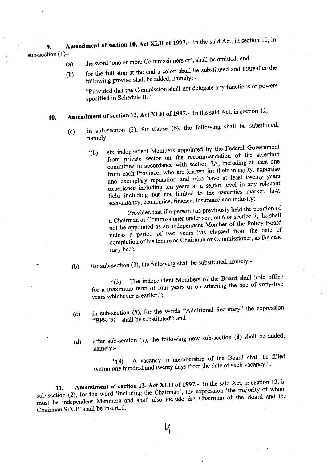Amendment of section 10, Act XLII of 1997.- In the said Act, in section 10, in 9. sub-section  $(1)$ -

- the word 'one or more Commissioners or', shall be omitted; and  $(a)$
- for the full stop at the end a colon shall be substituted and thereafter the  $(b)$ following proviso shall be added, namely: -

"Provided that the Commission shall not delegate any functions or powers specified in Schedule II.".

## Amendment of section 12, Act XLII of 1997.- In the said Act, in section 12,-10.

- in sub-section (2), for clause (b), the following shall be substituted,  $(a)$ namely:
	- six independent Members appointed by the Federal Government  $\degree$ (b) from private sector on the recommendation of the selection committee in accordance with section 7A, including at least one from each Province, who are known for their integrity, expertise and exemplary reputation and who have at least twenty years experience including ten years at a senior level in any relevant field including but not limited to the securities market, law, accountancy, economics, finance, insurance and industry:

Provided that if a person has previously held the position of a Chairman or Commissioner under section 6 or section 7, he shall not be appointed as an independent Member of the Policy Board unless a period of two years has elapsed from the date of completion of his tenure as Chairman or Commissioner, as the case may be.";

 $(b)$ 

for sub-section (3), the following shall be substituted, namely:-

The independent Members of the Board shall hold office  $(3)$ for a maximum term of four years or on attaining the age of sixty-five years whichever is earlier.";

- in sub-section (5), for the words "Additional Secretary" the expression  $(c)$ "BPS-20" shall be substituted"; and
- after sub-section (7), the following new sub-section (8) shall be added,  $(d)$ namely:-

A vacancy in membership of the Board shall be filled  $(8)$ within one hundred and twenty days from the date of such vacancy.".

Amendment of section 13, Act XLII of 1997.- In the said Act, in section 13, in sub-section (2), for the word 'including the Chairman', the expression 'the majority of whom 11. must be independent Members and shall also include the Chairman of the Board and the Chairman SECP' shall be inserted.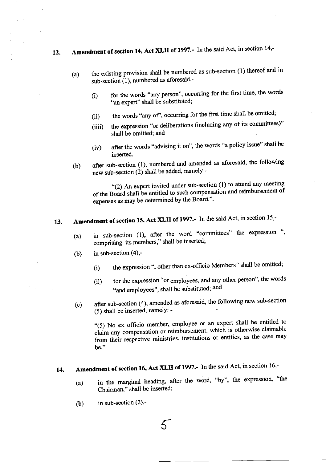# 12. Amendment of section 14, Act XLII of 1997.- In the said Act, in section 14,-

- (a) the existing provision shall be numbered as sub-section (1) thereof and in sub-section (1), numbered as aforesaid,-
	- (i) for the words "any person", occurring for the first time, the words "an expert" shall be substituted;
	- (ii) the words "any of", occurring for the first time shall be omitted;
	- (iiii) the expression "or deliberations (including any of its committees)" shall be omitted; and
	- (iv) after the words "advising it on", the words "a policy issue" shall be inserted.
- o) after sub-section (1), numbered and amended as aforesaid, the following new sub-section (2) shall be added, namely:-

"(2) An expert invited under sub-section (1) to attend any meetingof the Board shall be entitled to such compensation and reimbursement of expenses as may be determined by the Board.".

#### 13 Amendment of section 15, Act XLII of 1997.- In the said Act, in section 15,-

- (a) in sub-section (1), after the word "committees" the expression ", comprising its members," shall be inserted;
- (b) in sub-section  $(4)$ ,-
	- (i) the expression ", other than ex-officio Members" shall be omitted;
	- (ii) for the expression "or employees, and any other person", the words "and employees", shall be substituted; and
- (c) after sub-section (4), amended as aforesaid, the following new sub-section (5) shall be inserted, namelY: -

"(5) No ex officio member, employee or an expert shall be entitled to claim any compensation or reimbursement, which is otherwise claimable from their respective ministries, institutions or entities, as the case may be.".

#### 14. Amendment of section 16, Act XLII of 1997.- In the said Act, in section 16,-

- (a) in the marginal heading, after the word, "by", the expression, "the Chairman" shall be inserted;
- (b) in sub-section  $(2)$ ,-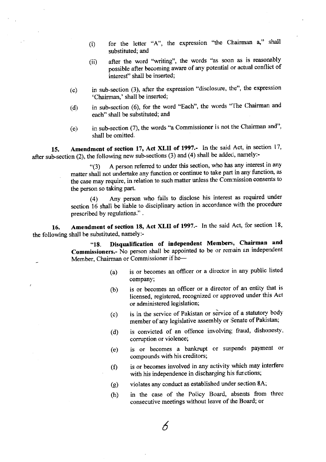- (1) for the letter \*A', the expression "the Chairman 4" shall substituted; and
- (ii) after the word "writing", the words "as soon as is reasonably possible after becoming aware of any potential or actual conflict of interesf' shall be inserted;
- $(c)$  in sub-section (3), after the expression "disclosure, the", the expression 'Chairman,' shall be inserted;
- (d) in sub-section (6), for the word "Each", the words "The Chairman and each" shall be substituted; and
- (e) in sub-section (7), the words "a Commissioner is not the Chairman and", shall be omitted.

15. Amendment of section 17, Act XLII of 1997.- In the said Act, in section 17, after sub-section (2), the following new sub-sections (3) and (4) shall be added, namely:-

> '(3) <sup>A</sup>person referred to under this section, who has any interest in any matter shall not undertake any function or continue to take part in any function, as the case may require, in relation to such matter unless the comnission consents to the person so taking part.

> (4) Any person who fails to disclose his interest as required under section 16 shall be liable to disciplinary action in accordance with the procedure prescribed bY regulations." .

16. Amendment of section 18, Act XLII of 1997.- In the said Act, for section 18, the following shall be substituted, namely:-

-

"18. Disqualification of independent Members, Chairman and Commissioners.- No person shall be appointed to be or remain an independent Mem ber, Chairman or Commissioner if he-

- (a) is or becomes an officer or a director in any public listed company;
- $(b)$  is or becomes an officer or a director of an entity that is licensed, registered, recognized or approved under this Act or administered legislation;
- (c) is in the service of Pakistan or service of a statutory body member of any legislative assembly or Senate of Pakistan;
- (d) is convicted of an offence involving fraud, dishonesty, corruption or violence;
- (e) is or becomes a bankrupt or suspends payment or compounds with his creditors;
- $(f)$  is or becomes involved in any activity which may interfere with his independence in discharging his functions;
- (g) violates any conduct as established under seotion 8A;
- (h) in the case of the Policy Board, absents from three consecutive meetings without leave of the Board; or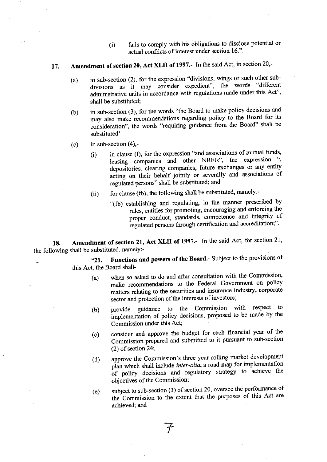(i) fails to comply with his obligations to disciose potential or actual conflicts of interest under section 16.".

#### 17. Amendment of section 20, Act XLII of 1997.- In the said Act, in section 20,-

- (a) in sub-section  $(2)$ , for the expression "divisions, wings or such other subdivisions as it may consider expedient", the words "different administrative units in accordance with regulations made under this Act"' shall be substituted;
- (b) in sub-section (3), for the words'the Board to make policy decisions and may also make recommendations regarding policy to the Board for its consideration", the words "requiring guidance from the Board" shall be substituted'
- (c) in sub-section  $(4)$ ,-
	- $(i)$  in clause  $(f)$ , for the expression "and associations of mutual funds, leasing companies and other NBFIs", the expression depositories, clearing companies, future exchanges or any entity acting on their behalf jointly or severally and associations of regulated persons" shall be substituted; and
	- (ii) for clause (fb), the following shall be substituted, namely:-
		- "(fb) establishing and regulating, in the manner prescribed by rules, entities for promoting, encouraging and enforcing the proper conduct, standards, competence and integrity of regulated persons through certification and accreditation;".

18. Amendment of section 21, Act XLII of 1997.- In the said Act, for section 21, the following shall be substituted, namely:-

"21. Functions and powers of the Board.- Subject to the provisions of this Act, the Board shall-

- (a) when so asked to do and after consultation with the Commission' make recommendations to the Federal Govemment on policy matters relating to the securities and insurance industry, corporate sector and protection of the interests of investors;
- (b) provide guidance to the Commission with respect to implementation of policy decisions, proposed to be made by the Commission under this Act;
- (c) consider and approve the budget for each financial year of the Commission prepared and submitted to it pursuant to sub-section (2) of section 24;
- (d) approve the Commission's three year rolling market development plan which shall include inter-alia, a road map for implementation of policy decisions and regulatory strategy to achieve the objectives of the Commission;
- (e) subject to sub-section (3) of section 20' oversee the performance of the Commission to the extent that the purposes of this Act are achieved; and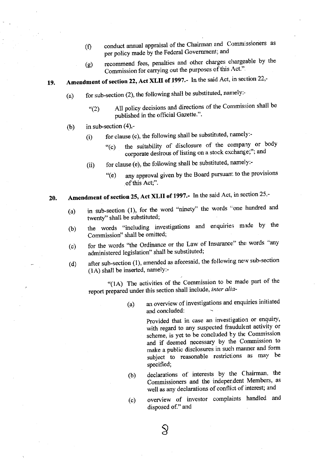- (f) conduct annual appraisal of the Chairman and Commissioners as per policy made by the Federal Government; and
- (g) recommend fees, penalties and other charges chargeable by the Commission for carrying out the purposes of this Act.".

#### L9. Amendment of section 22, Act XLII of 1997.- In the said Act, in section 22,-

- (a) for sub-section (2), the following shall be substituted, namely:
	- "(2) All policy decisions and directions of the Cornmission shall be published in the official Gazette.".
- (b) in sub-section  $(4)$ ,-
	- $(i)$  for clause (c), the following shall be substituted, ramely:-
		- "(c) the suitability of disclosure of the company or body corporate desirous of listing on a stock exchange;"; and
	- (ii) for clause (e), the following shall be substituted, namely:-
		- "(e) any approval given by the Board pursuant to the provisions of this Act;".

#### Amendment of section 25, Act XLII of 1997.- In the said Act, in section 25,-20.

- in sub-section (l), for the word "ninety" the words "one hundred and twenty" shall be substituted; (a)
- the words "including investigations and enquiries made by the Commission" shall be omitted; (b)
- for the words "the Ordinance or the Law of Insurance" the words "any administered legislation" shall be substituted; (c)
- after sub-section  $(1)$ , amended as aforesaid, the following new sub-section  $(1A)$  shall be inserted, namely:-(d)

'(1A) The activities of the Commission to be made part of the report prepared under this section shall include, inter alia-

> (a) an overview of investigations and enquiries initiated and concluded:

> > Provided that in case an investigation or enquiry, with regard to any suspected fraudulent activity or scheme, is yet to be concluded by the Commission and if deemed necessary by the Commission to make a public disclosures in such marmer and form subject to reasonable restrictions as may be specified;

- (b) declarations of interests by the Chairman, the Commissioners and the indeper.dent Members, as well as any declarations of conflict of interest; and
- overview of investor complaints handled and disposed of." and (c)

 $\Im$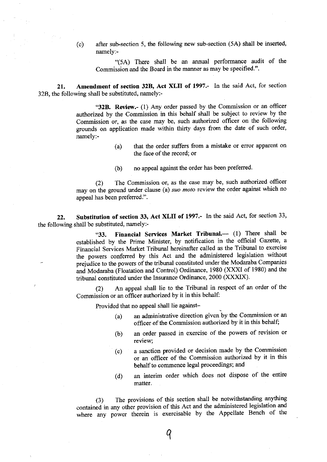(c) after sub-section 5, the following new sub-section (5A) shall be inserted namely:-

"(5A) There shall be an annual performance audit of the Commission and the Board in the manner as may be specified.".

21. Amendment of section 32B, Act XLII of 1997.- In the said Act, for section 32B, the following shall be substituted, namely:-

> "32B. Review.- (1) Any order passed by the Commission or an officer authorized by the Commission in this behalf shall be subject to review by the Commission or, as the case may be, such authorized officer on the following grounds on application made within thirty days from the date of such order, namely:-

- (a) that the order suffers from a mistake or error apparent on the face of the record; or
- (b) no appeal against the order has been preferred.

(2) The Commission or, as the case may be, such authorized officer may on the ground under clause (a) suo moto review the order against which no appeal has been preferred.".

22. Substitution of section 33, Act XLII of 1997.- In the said Act, for section 33, the following shall be substituted, namely:-

> "33. Financial Services Market Tribunal. $-$  (1) There shall be established by the Prime Minister, by notification in the official Gazette, a Financial Services Market Tribunal hereinafter called as the Tribunal to exercise the powers conferred by this Act and the administered Iegislation without prejudice to the powers of the tribunal constituted under the Modaraba Companies and Modaraba (Floatation and Control) Ordinance, 1980 (XXXI of 1980) and the tribunal constituted under the Insurance Ordinance, 2000 (XXXIX).

> (2) An appeal shall lie to the Tribunal in respect of an order of the Commission or an officer authorized by it in this behalf:

Provided that no appeal shall lie against-

- $(a)$  an administrative direction given by the Commission or an officer of the Commission authorized by it in this behalf;
- (b) an order passed in exercise of the powers of revision or review;
- $(c)$ a sanction provided or decision made by the Commission or an officer of the Commission authorized by it in this behalf to commence legal proceedings; and
- (d) an interim order which does not dispose of the entire matter.

(3) The provisions of this section shall be notwithstanding anything contained in any other provision of this Act and the administered legislation and where any power therein is exercisable by the Appellate Bench of the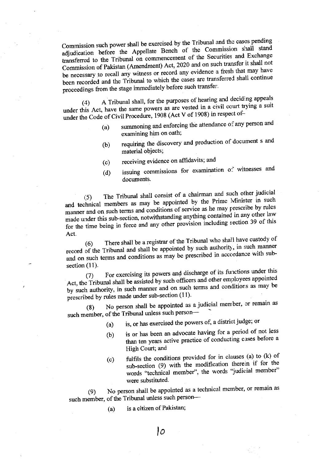Commission such power shall be exercised by the Tribunal and the cases pending adjudication before the Appellate Bench of the Commission shall stand transferred to the Tribunal on commencement of the Securities and Exchange Commission of Pakistan (Amendment) Act, 2020 and on such transfer it shall not be necessary to recall any witness or record any evidence a fresh that may have been recorded and the Tribunal to which the cases are transferred shall continue proceedings from the stage immediately before such transfer.

A Tribunal shall, for the purposes of hearing and deciding appeals  $(4)$ under this Act, have the same powers as are vested in a civil court trying a suit under the Code of Civil Procedure, 1908 (Act V of 1908) in respect of-

- summoning and enforcing the attendance of any person and  $(a)$ examining him on oath;
- requiring the discovery and production of document s and  $(b)$ material objects;
- receiving evidence on affidavits; and  $(c)$
- issuing commissions for examination of witnesses and  $(d)$ documents.

The Tribunal shall consist of a chairman and such other judicial  $(5)$ and technical members as may be appointed by the Prime Minister in such manner and on such terms and conditions of service as he may prescribe by rules made under this sub-section, notwithstanding anything contained in any other law for the time being in force and any other provision including section 39 of this Act.

There shall be a registrar of the Tribunal who shall have custody of  $(6)$ record of the Tribunal and shall be appointed by such authority, in such manner and on such terms and conditions as may be prescribed in accordance with subsection  $(11)$ .

For exercising its powers and discharge of its functions under this  $(7)$ Act, the Tribunal shall be assisted by such officers and other employees appointed by such authority, in such manner and on such terms and conditions as may be prescribed by rules made under sub-section (11).

No person shall be appointed as a judicial member, or remain as  $(8)$ such member, of the Tribunal unless such person-

- is, or has exercised the powers of, a district judge; or  $(a)$
- is or has been an advocate having for a period of not less  $(b)$ than ten years active practice of conducting cases before a High Court; and
- fulfils the conditions provided for in clauses (a) to (k) of  $(c)$ sub-section (9) with the modification therein if for the words "technical member", the words "judicial member" were substituted.

No person shall be appointed as a technical member, or remain as  $(9)$ such member, of the Tribunal unless such person-

> is a citizen of Pakistan;  $(a)$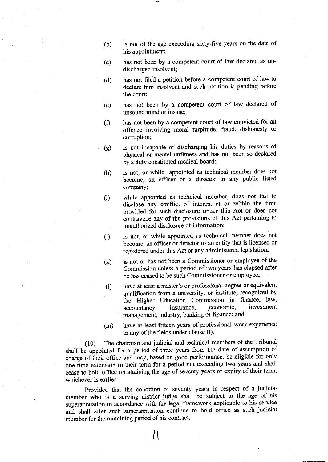- (b) is not of the age exceeding sixty-five years on the date of his appointment;
- (c) has not been by a competent court of law declared as undisoharged insolvent;
- (d) has not filed a petition before a competent court of law to declare him insolvent and such petition is pending before the court;
- $(e)$ has not been by a competent court of law declared of unsound mind or insane;
- $(f)$ has not been by a competent court of law convicted for an offence involving moral turpitude, fraud, dishonesty or corruption;
- (e) is not incapable of disoharging his duties by reasons of physical or mental unfitness and has not been so declared by a duly constituted medical board;
- (h) is not, or while appointed as technical member does not become, an officer or a director in any public listed company;
- $(i)$ while appointed as techrical member, does not fail to disclose any conflict of interest at or within the time provided for such disclosure under this Act or does not contravene any of the provisions of this Act pertaining to unauthorized disclosure of information;
- $(i)$ is not, or while appointed as technical member does not become, an officer or director of an entity that is licensed or registered under this Act or any administered legislation;
- (k) is not or has not been a Commissioner or employee of the Commission unless a period of two years has elapsed after he has ceased to be such Commissioner or employee;
- 0) have at least a master's or professional degree or equivalent qualification from a university, or institute, recognized by the Higher Education Commission in finance, law, accountancy, insurance, economic, investment accountancy, insurance, economic, investment<br>management, industry, banking or finance; and
- (m) have at least fifteen years of professional work experience in any of the fields under clause (l).

(10) The chairman and judicial and technical members of the Tribunal shall be appointed for a period of three years from the date of assumption of charge of their office and may, based on good performance, be eligible for only one time extension in their term for a period not exceeding two years and shall cease to hold office on attaining the age of seventy years or expiry of their term, whichever is earlier:

Provided that the condition of seventy years in respect of a judicial member who is a serving diskict judge shall be subject to the age of his superannuation in accordanoe with the legal framework applicable to his service and shall after such superannuation continue to hold office as such judicial member for the remaining period of his contract.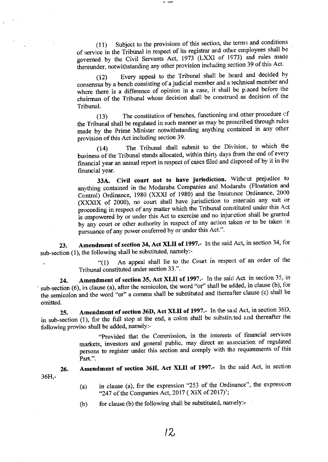Subject to the provisions of this section, the terms and conditions  $(11)$ of service in the Tribunal in respect of its registrar and other employees shall be governed by the Civil Servants Act, 1973 (LXXI of 1973) and rules made thereunder, notwithstanding any other provision including section 39 of this Act.

Every appeal to the Tribunal shall be heard and decided by  $(12)$ consensus by a bench consisting of a judicial member and a technical member and where there is a difference of opinion in a case, it shall be placed before the chairman of the Tribunal whose decision shall be construed as decision of the Tribunal.

The constitution of benches, functioning and other procedure of  $(13)$ the Tribunal shall be regulated in such manner as may be prescribed through rules made by the Prime Minister notwithstanding anything contained in any other provision of this Act including section 39.

The Tribunal shall submit to the Division, to which the  $(14)$ business of the Tribunal stands allocated, within thirty days from the end of every financial year an annual report in respect of cases filed and disposed of by it in the financial year.

Civil court not to have jurisdiction. Without prejudice to 33A. anything contained in the Modaraba Companies and Modaraba (Floatation and Control) Ordinance, 1980 (XXXI of 1980) and the Insurance Ordinance, 2000 (XXXIX of 2000), no court shall have jurisdiction to entertain any suit or proceeding in respect of any matter which the Tribunal constituted under this Act is empowered by or under this Act to exercise and no injunction shall be granted by any court or other authority in respect of any action taken or to be taken in pursuance of any power conferred by or under this Act.".

Amendment of section 34, Act XLII of 1997.- In the said Act, in section 34, for 23. sub-section (1), the following shall be substituted, namely:-

An appeal shall lie to the Court in respect of an order of the  $(1)$ Tribunal constituted under section 33.".

Amendment of section 35, Act XLII of 1997.- In the said Act, in section 35, in 24. sub-section (6), in clause (a), after the semicolon, the word "or" shall be added, in clause (b), for the semicolon and the word "or" a comma shall be substituted and thereafter clause (c) shall be omitted.

Amendment of section 36D, Act XLII of 1997.- In the said Act, in section 36D, 25. in sub-section (1), for the full stop at the end, a colon shall be substituted and thereafter the following proviso shall be added, namely:-

"Provided that the Commission, in the interests of financial services markets, investors and general public, may direct an association of regulated persons to register under this section and comply with the requirements of this Part.".

 $36H -$ 

26.

- Amendment of section 36H, Act XLII of 1997.- In the said Act, in section
	- in clause (a), for the expression "253 of the Ordinance", the expression  $(a)$ "247 of the Companies Act, 2017 (XIX of 2017)';
	- for clause (b) the following shall be substituted, namely:- $(b)$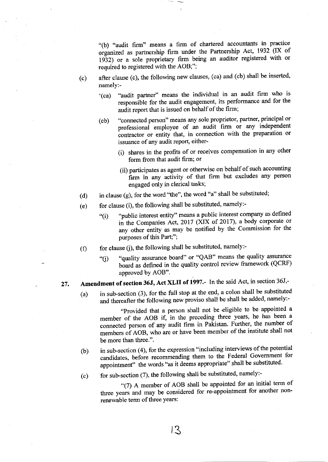'(b) "audit firm" means a firm of chartered accountants in practice organized as partnership firm under the Partnership Act, 1932 (IX of 1932) or a sole proprietary firm being an auditor registered with or required to registered with the AOB;";

- (c) after clause (c), the following new clauses, (ca) and (cb) shall be inserted, namely:-
	- '(ca) "audit partner" means the individual in an audit firm who is responsible for the audit engagement, its performance and for the audit report that is issued on behalf of the firm;
	- (cb) "connected person" means any sole proprietor, partner, principal or professionai employee of an audit firm or any independent contractor or entity that, in connection with the preparation or<br>issuance of any audit report eitherissuance of any audit report, either-
		- (i) shares in the profits of or receives compensation in any other form from that audit firm; or
		- (ii) participates as agent or otherwise on behalf of such accounting firm in any activity of that firm but excludes any person engaged onIY in clerical tasks;
- (d) in clause (g), for the word 'the", the word "a" shall be substituted;
- (e) for clause (i), the following shall be substituted, namely:-
	- "public interest entity" means a public interest company as defined  $\lq$ <sup>"</sup>(i) in the Companies Act, 2017 (XIX of 2017), a body corporate or any other entity as may be notified by the Commission for the purposes of this Part;";
- $(f)$  for clause  $(j)$ , the following shall be substituted, namely:-
	- "6) "quality assurance board" or "QAB" means the quality assurance board as defined in the quality control review framework (QCRF) approved by AOB".

#### 27. Amendment of section 36J, Act XLII of 1997.- In the said Act, in section 36J,-

 $(a)$  in sub-section (3), for the full stop at the end, a colon shall be substituted and thereafter the following new proviso shall be shall be added, namely:-

"Provided that a person shall not be eligible to be appointed <sup>a</sup> member of the AOB if, in the preceding three years, he has been a connected person of any audit firm in Pakistan. Further, the number of members of AOB, who are or have been member of the institute shall not be more than three.".

- $(b)$  in sub-section (4), for the expression "including interviews of the potential candidates, before recommending them to the Federal Government for appointment" the words "as it deems appropriate" shall be substituted.
- (c) for sub-section  $(7)$ , the following shall be substituted, namely:-

"(7) A member of AOB shall be appointed for an initial term of three years and may be considered for re-appointment for another nonrenewable term of three Years: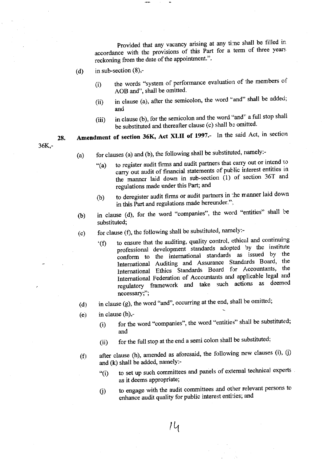Provided that any vacancy arising at any time shall be filled in accordance with the provisions of this Part for a term of three years reckoning from the date of the appointment.".

in sub-section  $(8)$ ,- $(d)$ 

 $36K -$ 

- the words "system of performance evaluation of the members of  $(i)$ AOB and", shall be omitted.
- in clause (a), after the semicolon, the word "and" shall be added;  $(ii)$ and
- in clause (b), for the semicolon and the word "and" a full stop shall  $(iii)$ be substituted and thereafter clause (c) shall be omitted.

Amendment of section 36K, Act XLII of 1997.- In the said Act, in section 28.

- for clauses (a) and (b), the following shall be substituted, namely:- $(a)$ 
	- to register audit firms and audit partners that carry out or intend to  $``(a)$ carry out audit of financial statements of public interest entities in the manner laid down in sub-section (1) of section 36T and regulations made under this Part; and
	- to deregister audit firms or audit partners in the manner laid down  $(b)$ in this Part and regulations made hereunder.";
- in clause (d), for the word "companies", the word "entities" shall be  $(b)$ substituted;
- for clause (f), the following shall be substituted, namely:- $(c)$ 
	- to ensure that the auditing, quality control, ethical and continuing  $f(f)$ professional development standards adopted by the institute conform to the international standards as issued by the International Auditing and Assurance Standards Board, the International Ethics Standards Board for Accountants, the International Federation of Accountants and applicable legal and regulatory framework and take such actions as deemed necessary:":
- in clause (g), the word "and", occurring at the end, shall be omitted;  $(d)$
- in clause  $(h)$ ,- $(e)$ 
	- for the word "companies", the word "entities" shall be substituted;  $(i)$ and
	- for the full stop at the end a semi colon shall be substituted;  $(ii)$
- after clause (h), amended as aforesaid, the following new clauses (i), (j)  $(f)$ and (k) shall be added, namely:
	- to set up such committees and panels of external technical experts  $``(i)$ as it deems appropriate;
	- to engage with the audit committees and other relevant persons to  $(i)$ enhance audit quality for public interest entities; and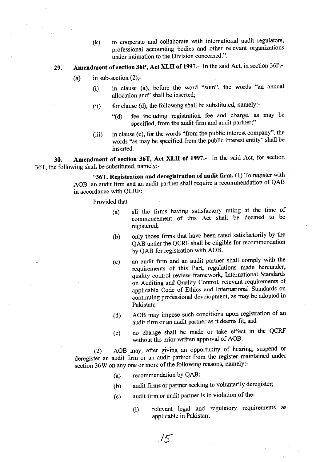(k) to cooperate and collaborate with international audit regulators, professional accounting bodies and other relevant organizations under intimation to the Division concerned.".

#### 29. Amendment of section 36P, Act XLII of 197.- In the said Act, in section 36P,-

- (a) in sub-section  $(2)$ ,-
	- (i) in clause (a), before the word "sum", the words "an annual allocation and" shall be inserted;
	- (ii) for clause (d), the following shall be substituted, namely:- $\frac{u}{d}$  (d) fee including registration fee and charge, as may be
		- specified, from the audit firm and audit partner;"
	- $(iii)$  in clause (e), for the words "from the public interest company", the words "as may be specifred from the public interest entity" shall be inserted.

30. Amendment of section 36T, Act XLII of 1997. In the said Act, for section 36T, the following shall be substituted, namely:-

> "36T. Registration and deregistration of audit firm.  $(1)$  To register with AOB, an audit firm and an audit partner shall require a recommendation of QAB in accordance with QCRF:

Provided that-

- $(a)$  all the firms having satisfactory rating at the time of commencement of this Act shall be deemed to be registered;
- only those firms that have been rated satisfactorily by the QAB under the QCRF shall be eligible fot recommendation by QAB for registration with AOB. (b)
- an audit frrm and an audit partner shall comply with the requirements of this Part, regulations made hereunder, quality control review framework, Intemational Standards on Auditing and Quality Control, relevant requirements of applicable Code of Ethics and Intemational Standards on continuing professional development, as may be adopted in (c) Pakistan;
- (d) AOB may impose such conditions upon registration of an audit firm or an audit partner as it deems fit; and
- (e) no change shall be made or take effect in the QCRF without the prior written approval of AOB.

(2) AOB may, after giving an opportunity of hearing, suspend or deregister an audit firm or an audit partner from the register maintained under section 36W on any one or more of the following reasons, namely:-

(a) recommendation bY QAB;

 $15$ 

- (b) audit firms or partner seeking to voluntarily deregister;
- $(c)$  audit firm or audit partner is in violation of the-
	- (i) relevant legal and regulatory requirements as applicable in Pakistan;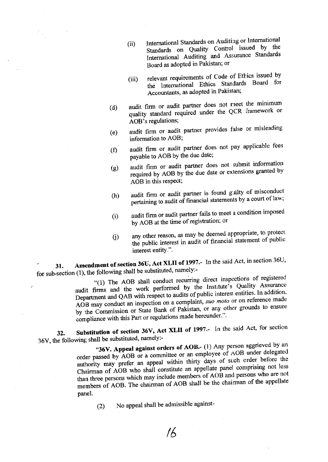- International Standards on Auditing or International  $(ii)$ Standards on Quality Control issued by the International Auditing and Assurance Standards Board as adopted in Pakistan; or
- relevant requirements of Code of Ethics issued by  $(iii)$ the International Ethics Standards Board for Accountants, as adopted in Pakistan;
- audit firm or audit partner does not meet the minimum  $(d)$ quality standard required under the QCR framework or AOB's regulations;
- audit firm or audit partner provides false or misleading  $(e)$ information to AOB;
- audit firm or audit partner does not pay applicable fees  $(f)$ payable to AOB by the due date;
- audit firm or audit partner does not submit information  $(g)$ required by AOB by the due date or extensions granted by AOB in this respect;
- audit firm or audit partner is found guilty of misconduct  $(h)$ pertaining to audit of financial statements by a court of law;
- audit firm or audit partner fails to meet a condition imposed  $(i)$ by AOB at the time of registration; or
- any other reason, as may be deemed appropriate, to protect  $(i)$ the public interest in audit of financial statement of public interest entity.".

Amendment of section 36U, Act XLII of 1997.- In the said Act, in section 36U, 31. for sub-section (1), the following shall be substituted, namely:-

"(1) The AOB shall conduct recurring direct inspections of registered audit firms and the work performed by the Institute's Quality Assurance Department and QAB with respect to audits of public interest entities. In addition, AOB may conduct an inspection on a complaint, suo moto or on reference made by the Commission or State Bank of Pakistan, or any other grounds to ensure compliance with this Part or regulations made hereunder.".

Substitution of section 36V, Act XLII of 1997.- In the said Act, for section 32. 36V, the following shall be substituted, namely:-

"36V. Appeal against orders of AOB.- (1) Any person aggrieved by an order passed by AOB or a committee or an employee of AOB under delegated authority may prefer an appeal within thirty days of such order before the Chairman of AOB who shall constitute an appellate panel comprising not less than three persons which may include members of AOB and persons who are not members of AOB. The chairman of AOB shall be the chairman of the appellate panel.

No appeal shall be admissible against- $(2)$ 

 $16$